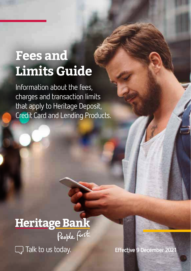# **Fees and Limits Guide**

Information about the fees, charges and transaction limits that apply to Heritage Deposit, Credit Card and Lending Products.

Heritage Bank **Q** Talk to us today.

**Effective 9 December 2021**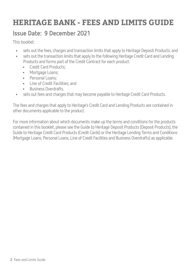## **HERITAGE BANK - FEES AND LIMITS GUIDE**

#### **Issue Date: 9 December 2021**

This booklet:

- sets out the fees, charges and transaction limits that apply to Heritage Deposit Products; and<br>• sets out the transaction limits that annly to the following Heritage Credit Card and Lending
- sets out the transaction limits that apply to the following Heritage Credit Card and Lending Products and forms part of the Credit Contract for each product:
	- Credit Card Products;
	- Mortgage Loans;
	- Personal Loans;
	- Line of Credit Facilities; and
	- Business Overdrafts.
- sets out fees and charges that may become payable to Heritage Credit Card Products.

The fees and charges that apply to Heritage's Credit Card and Lending Products are contained in other documents applicable to the product.

For more information about which documents make up the terms and conditions for the products contained in this booklet, please see the Guide to Heritage Deposit Products (Deposit Products), the Guide to Heritage Credit Card Products (Credit Cards) or the Heritage Lending Terms and Conditions (Mortgage Loans, Personal Loans, Line of Credit Facilities and Business Overdrafts) as applicable.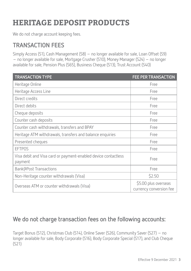## **HERITAGE DEPOSIT PRODUCTS**

We do not charge account keeping fees.

#### **TRANSACTION FEES**

Simply Access (S1), Cash Management (S8) – no longer available for sale, Loan Offset (S9) – no longer available for sale, Mortgage Crusher (S10), Money Manager (S24) – no longer available for sale, Pension Plus (S65), Business Cheque (S13), Trust Account (S40)

| <b>TRANSACTION TYPE</b>                                                   | <b>FEE PER TRANSACTION</b>                      |
|---------------------------------------------------------------------------|-------------------------------------------------|
| Heritage Online                                                           | Free                                            |
| Heritage Access Line                                                      | Free                                            |
| Direct credits                                                            | Free                                            |
| Direct debits                                                             | Free                                            |
| Cheque deposits                                                           | Free                                            |
| Counter cash deposits                                                     | Free                                            |
| Counter cash withdrawals, transfers and BPAY                              | Free                                            |
| Heritage ATM withdrawals, transfers and balance enquiries                 | Free                                            |
| Presented cheques                                                         | Free                                            |
| <b>EFTPOS</b>                                                             | Free                                            |
| Visa debit and Visa card or payment-enabled device contactless<br>payment | Free                                            |
| Bank@Post Transactions                                                    | Free                                            |
| Non-Heritage counter withdrawals (Visa)                                   | \$2.50                                          |
| Overseas ATM or counter withdrawals (Visa)                                | \$5.00 plus overseas<br>currency conversion fee |

#### **We do not charge transaction fees on the following accounts:**

Target Bonus (S12), Christmas Club (S14), Online Saver (S26), Community Saver (S27) – no longer available for sale, Body Corporate (S16), Body Corporate Special (S17), and Club Cheque (S21)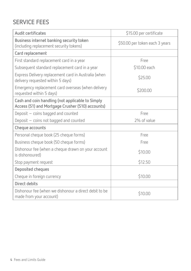#### **SERVICE FEES**

| Audit certificates                                                                                   | \$15.00 per certificate        |  |
|------------------------------------------------------------------------------------------------------|--------------------------------|--|
| Business internet banking security token<br>(including replacement security tokens)                  | \$50.00 per token each 3 years |  |
| Card replacement                                                                                     |                                |  |
| First standard replacement card in a year                                                            | Free                           |  |
| Subsequent standard replacement card in a year                                                       | \$10.00 each                   |  |
| Express Delivery replacement card in Australia (when<br>delivery requested within 5 days)            | \$25.00                        |  |
| Emergency replacement card overseas (when delivery<br>requested within 5 days)                       | \$200.00                       |  |
| Cash and coin handling (not applicable to Simply<br>Access (S1) and Mortgage Crusher (S10) accounts) |                                |  |
| Deposit - coins bagged and counted                                                                   | Free                           |  |
| Deposit - coins not bagged and counted                                                               | 2% of value                    |  |
| Cheque accounts                                                                                      |                                |  |
| Personal cheque book (25 cheque forms)                                                               | Free                           |  |
| Business cheque book (50 cheque forms)<br>Free                                                       |                                |  |
| Dishonour fee (when a cheque drawn on your account<br>is dishonoured)                                | \$10.00                        |  |
| Stop payment request                                                                                 | \$12.50                        |  |
| Deposited cheques                                                                                    |                                |  |
| Cheque in foreign currency                                                                           | \$10.00                        |  |
| Direct debits                                                                                        |                                |  |
| Dishonour fee (when we dishonour a direct debit to be<br>made from your account)                     | \$10.00                        |  |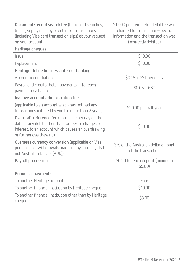| Document/record search fee (for record searches,<br>traces, supplying copy of details of transactions<br>(including Visa card transaction slips) at your request<br>on your account)         | \$12.00 per item (refunded if fee was<br>charged for transaction-specific<br>information and the transaction was<br>incorrectly debited) |  |
|----------------------------------------------------------------------------------------------------------------------------------------------------------------------------------------------|------------------------------------------------------------------------------------------------------------------------------------------|--|
| Heritage cheques                                                                                                                                                                             |                                                                                                                                          |  |
| Issue                                                                                                                                                                                        | \$10.00                                                                                                                                  |  |
| Replacement                                                                                                                                                                                  | \$10.00                                                                                                                                  |  |
| Heritage Online business internet banking                                                                                                                                                    |                                                                                                                                          |  |
| Account reconciliation                                                                                                                                                                       | $$0.05 + GST$ per entry                                                                                                                  |  |
| Payroll and creditor batch payments - for each<br>payment in a batch                                                                                                                         | $$0.05 + GST$                                                                                                                            |  |
| Inactive account administration fee                                                                                                                                                          |                                                                                                                                          |  |
| (applicable to an account which has not had any<br>transactions initiated by you for more than 2 years)                                                                                      | \$20.00 per half year                                                                                                                    |  |
| Overdraft reference fee (applicable per day on the<br>date of any debit, other than for fees or charges or<br>interest, to an account which causes an overdrawing<br>or further overdrawing) | \$10.00                                                                                                                                  |  |
| Overseas currency conversion (applicable on Visa<br>purchases or withdrawals made in any currency that is<br>not Australian Dollars (AUD))                                                   | 3% of the Australian dollar amount<br>of the transaction                                                                                 |  |
| Payroll processing                                                                                                                                                                           | \$0.50 for each deposit (minimum<br>$$5.00$ )                                                                                            |  |
| Periodical payments                                                                                                                                                                          |                                                                                                                                          |  |
| To another Heritage account                                                                                                                                                                  | Free                                                                                                                                     |  |
| To another financial institution by Heritage cheque                                                                                                                                          | \$10.00                                                                                                                                  |  |
| To another financial institution other than by Heritage<br>cheque                                                                                                                            | \$3.00                                                                                                                                   |  |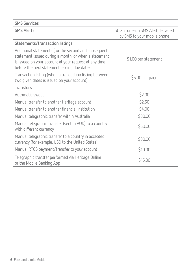| <b>SMS Services</b>                                                                                                                                                                                                  |                                                                    |  |
|----------------------------------------------------------------------------------------------------------------------------------------------------------------------------------------------------------------------|--------------------------------------------------------------------|--|
| <b>SMS Alerts</b>                                                                                                                                                                                                    | \$0.25 for each SMS Alert delivered<br>by SMS to your mobile phone |  |
| Statements/transaction listings                                                                                                                                                                                      |                                                                    |  |
| Additional statements (for the second and subsequent<br>statement issued during a month, or when a statement<br>is issued on your account at your request at any time<br>before the next statement issuing due date) | \$1.00 per statement                                               |  |
| Transaction listing (when a transaction listing between<br>two given dates is issued on your account)                                                                                                                | \$5.00 per page                                                    |  |
| <b>Transfers</b>                                                                                                                                                                                                     |                                                                    |  |
| Automatic sweep                                                                                                                                                                                                      | \$2.00                                                             |  |
| Manual transfer to another Heritage account                                                                                                                                                                          | \$2.50                                                             |  |
| Manual transfer to another financial institution                                                                                                                                                                     | \$4.00                                                             |  |
| Manual telegraphic transfer within Australia                                                                                                                                                                         | \$30.00                                                            |  |
| Manual telegraphic transfer (sent in AUD) to a country<br>with different currency                                                                                                                                    | \$50.00                                                            |  |
| Manual telegraphic transfer to a country in accepted<br>currency (for example, USD to the United States)                                                                                                             | \$30.00                                                            |  |
| Manual RTGS payment/transfer to your account                                                                                                                                                                         | \$10.00                                                            |  |
| Telegraphic transfer performed via Heritage Online<br>or the Mobile Banking App                                                                                                                                      | \$15.00                                                            |  |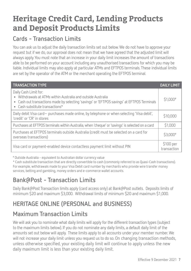## **Heritage Credit Card, Lending Products and Deposit Products Limits**

#### **Cards - Transaction Limits**

You can ask us to adjust the daily transaction limits set out below. We do not have to approve your request but if we do, our approval does not mean that we have agreed that the adjusted limit will always apply. You must note that an increase in your daily limit increases the amount of transactions able to be performed on your account including any unauthorised transactions for which you may be liable. Individual limits may also apply at particular ATMs and EFTPOS terminals. These individual limits are set by the operator of the ATM or the merchant operating the EFTPOS terminal.

| <b>TRANSACTION TYPE</b>                                                                                                                                                                                                 | <b>DAILY LIMIT</b>       |
|-------------------------------------------------------------------------------------------------------------------------------------------------------------------------------------------------------------------------|--------------------------|
| Daily Cash Limit for:<br>• Withdrawals at ATMs within Australia and outside Australia<br>• Cash out transactions made by selecting 'savings' or 'EFTPOS savings' at EFTPOS Terminals<br>• Cash substitute transactions* | $$1,000*$                |
| Daily debit Visa card – purchases made online, by telephone or when selecting 'Visa debit',<br>'credit' or 'CR' in stores                                                                                               | \$10,000                 |
| Purchases at EFTPOS terminals within Australia, when 'cheque' or 'savings' is selected on a card                                                                                                                        | \$1,000                  |
| Purchases at EFTPOS terminals outside Australia (credit must be selected on a card for<br>overseas transactions)                                                                                                        | \$3,000#                 |
| Visa card or payment-enabled device contactless payment limit without PIN                                                                                                                                               | \$100 per<br>transaction |

# Outside Australia - equivalent to Australian dollar currency value

\* Cash substitute transaction that are directly convertible to cash (commonly referred to as Quasi-Cash transactions). For example, withdrawals made to your Visa Debit card number by merchants who provide wire transfer money services, betting and gambling, money orders and e-commerce wallet accounts.

#### **Bank@Post - Transaction Limits**

Daily Bank@Post Transaction limits apply (card access only) at Bank@Post outlets. Deposits limits of minimum \$20 and maximum \$3,000. Withdrawal limits of minimum \$20 and maximum \$1,000.

### **HERITAGE ONLINE (PERSONAL and BUSINESS)**

#### **Maximum Transaction Limits**

We will ask you to nominate what daily limits will apply for the different transaction types (subject to the maximum limits below). If you do not nominate any daily limits, a default daily limit of the amounts set out below will apply. These limits apply to all accounts under your member number. We will not increase your daily limit unless you request us to do so. On changing transaction methods, unless otherwise specified, your existing daily limit will continue to apply unless the new daily maximum limit is less than your existing daily limit.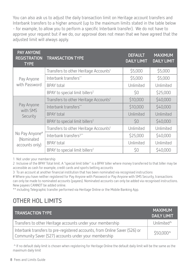You can also ask us to adjust the daily transaction limit on Heritage account transfers and Interbank transfers to a higher amount (up to the maximum limits stated in the table below - for example, to allow you to perform a specific Interbank transfer). We do not have to approve your request but if we do, our approval does not mean that we have agreed that the adjusted limit will always apply.

| PAY ANYONE<br><b>REGISTRATION</b><br><b>TYPE</b> | <b>TRANSACTION TYPE</b>                           | <b>DEFAULT</b><br><b>DAILY LIMIT</b> | <b>MAXIMUM</b><br><b>DAILY LIMIT</b> |
|--------------------------------------------------|---------------------------------------------------|--------------------------------------|--------------------------------------|
| Pay Anyone<br>with Password                      | Transfers to other Heritage Accounts <sup>1</sup> | \$5,000                              | \$5,000                              |
|                                                  | Interbank transfers**                             | \$5,000                              | \$5,000                              |
|                                                  | <b>BPAY</b> total                                 | Unlimited                            | Unlimited                            |
|                                                  | BPAY to special limit billers <sup>2</sup>        | \$0                                  | \$25,000                             |
|                                                  | Transfers to other Heritage Accounts <sup>1</sup> | \$10,000                             | \$40,000                             |
| Pay Anyone<br>with SMS<br>Security               | Interbank transfers**                             | \$10,000                             | \$40,000                             |
|                                                  | <b>BPAY</b> total                                 | Unlimited                            | Unlimited                            |
|                                                  | BPAY to special limit billers <sup>2</sup>        | \$0                                  | \$40,000                             |
|                                                  | Transfers to other Heritage Accounts <sup>1</sup> | Unlimited                            | Unlimited                            |
| No Pay Anyone#<br>(Nominated<br>accounts only)   | Interbank transfers <sup>3**</sup>                | \$25,000                             | \$40,000                             |
|                                                  | BPAY total                                        | Unlimited                            | Unlimited                            |
|                                                  | BPAY to special limit billers <sup>2</sup>        | \$0                                  | \$40,000                             |

1 Not under your membership

2 Inclusive of the BPAY Total limit. A "special limit biller" is a BPAY biller where money transferred to that biller may be accessible as cash for example, credit cards and sports betting accounts

3 To an account at another financial institution that has been nominated via recognised instructions

# Where you have neither registered for Pay Anyone with Password or Pay Anyone with SMS Security, transactions can only be made to nominated accounts (payees). Nominated accounts can only be added via recognised instructions. New payees CANNOT be added online.

\*\* including Telegraphic transfer performed via Heritage Online or the Mobile Banking App.

#### **OTHER HOL LIMITS**

| <b>TRANSACTION TYPE</b>                                                                                                            | <b>MAXIMUM</b><br><b>DAILY LIMIT</b> |
|------------------------------------------------------------------------------------------------------------------------------------|--------------------------------------|
| Transfers to other Heritage accounts under your membership                                                                         | Unlimited <sup>^</sup>               |
| Interbank transfers to pre-registered accounts, from Online Saver (S26) or<br>Community Saver (S27) accounts under your membership | \$50,000^                            |

 ^ If no default daily limit is chosen when registering for Heritage Online the default daily limit will be the same as the maximum daily limit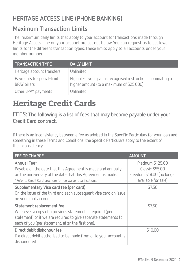#### **HERITAGE ACCESS LINE (PHONE BANKING)**

#### **Maximum Transaction Limits**

The maximum daily limits that apply to your account for transactions made through Heritage Access Line on your account are set out below. You can request us to set lower limits for the different transaction types. These limits apply to all accounts under your member number.

| <b>TRANSACTION TYPE</b>                          | <b>DAILY LIMIT.</b>                                                                                      |
|--------------------------------------------------|----------------------------------------------------------------------------------------------------------|
| Heritage account transfers                       | Unlimited                                                                                                |
| Payments to special-limit<br><b>BPAY billers</b> | Nil, unless you give us recognised instructions nominating a<br>higher amount (to a maximum of \$25,000) |
| Other BPAY payments                              | Unlimited                                                                                                |

## **Heritage Credit Cards**

**FEES: The following is a list of fees that may become payable under your Credit Card contract.** 

If there is an inconsistency between a fee as advised in the Specific Particulars for your loan and something in these Terms and Conditions, the Specific Particulars apply to the extent of the inconsistency.

| <b>FEE OR CHARGE</b>                                                                                                                                                                                          | <b>AMOUNT</b>                                                                             |
|---------------------------------------------------------------------------------------------------------------------------------------------------------------------------------------------------------------|-------------------------------------------------------------------------------------------|
| Annual Fee*<br>Payable on the date that this Agreement is made and annually<br>on the anniversary of the date that this Agreement is made.<br>*Refer to Credit Card brochure for fee waiver qualifications.   | Platinum \$125.00<br>Classic \$55.00<br>Freedom \$18.00 (no longer<br>available for sale) |
| Supplementary Visa card fee (per card)<br>On the issue of the third and each subsequent Visa card on issue<br>on your card account.                                                                           | \$7.50                                                                                    |
| Statement replacement fee<br>Whenever a copy of a previous statement is required (per<br>statement) or if we are required to give separate statements to<br>each of you (per statement, after the first one). | \$7.50                                                                                    |
| Direct debit dishonour fee<br>If a direct debit authorised to be made from or to your account is<br>dishonoured                                                                                               | \$10.00                                                                                   |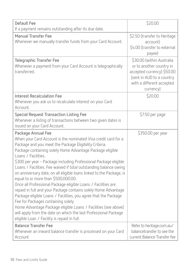| <b>Default Fee</b><br>If a payment remains outstanding after its due date.                                                                                                                                                                                                                                                                                                                                                                                                                                                                                                                                                                                                                                                                                                                                                                                                                                                | \$20.00                                                                                                                                                    |
|---------------------------------------------------------------------------------------------------------------------------------------------------------------------------------------------------------------------------------------------------------------------------------------------------------------------------------------------------------------------------------------------------------------------------------------------------------------------------------------------------------------------------------------------------------------------------------------------------------------------------------------------------------------------------------------------------------------------------------------------------------------------------------------------------------------------------------------------------------------------------------------------------------------------------|------------------------------------------------------------------------------------------------------------------------------------------------------------|
| <b>Manual Transfer Fee</b><br>Whenever we manually transfer funds from your Card Account.                                                                                                                                                                                                                                                                                                                                                                                                                                                                                                                                                                                                                                                                                                                                                                                                                                 | \$2.50 (transfer to Heritage<br>account)<br>\$4.00 (transfer to external<br>payee)                                                                         |
| <b>Telegraphic Transfer Fee</b><br>Whenever a payment from your Card Account is telegraphically<br>transferred.                                                                                                                                                                                                                                                                                                                                                                                                                                                                                                                                                                                                                                                                                                                                                                                                           | \$30.00 (within Australia<br>or to another country in<br>accepted currency) \$50.00<br>(sent in AUD to a country<br>with a different accepted<br>currency) |
| <b>Interest Recalculation Fee</b><br>Whenever you ask us to recalculate interest on your Card<br>Account.                                                                                                                                                                                                                                                                                                                                                                                                                                                                                                                                                                                                                                                                                                                                                                                                                 | \$20.00                                                                                                                                                    |
| <b>Special Request Transaction Listing Fee</b><br>Whenever a listing of transactions between two given dates is<br>issued on your Card Account.                                                                                                                                                                                                                                                                                                                                                                                                                                                                                                                                                                                                                                                                                                                                                                           | \$7.50 per page                                                                                                                                            |
| Package Annual Fee<br>When your Card Account is the nominated Visa credit card for a<br>Package and you meet the Package Eligibility Criteria<br>Package containing solely Home Advantage Package eligible<br>Loans / Facilities.<br>\$300 per year - Package including Professional Package eligible<br>Loans / Facilities. Fee waived if total outstanding balance owing<br>on anniversary date, on all eligible loans linked to the Package, is<br>equal to or more than \$500,000.00.<br>Once all Professional Package eligible Loans / Facilities are<br>repaid in full and your Package contains solely Home Advantage<br>Package eligible Loans / Facilities, you agree that the Package<br>Fee for Packages containing solely<br>Home Advantage Package eligible Loans / Facilities (see above)<br>will apply from the date on which the last Professional Package<br>eligible Loan / Facility is repaid in full. | \$350.00 per year                                                                                                                                          |
| <b>Balance Transfer Fee</b><br>Whenever an inward balance transfer is processed on your Card<br>Account                                                                                                                                                                                                                                                                                                                                                                                                                                                                                                                                                                                                                                                                                                                                                                                                                   | Refer to heritage.com.au/<br>balancetransfer to see the<br>current Balance Transfer fee                                                                    |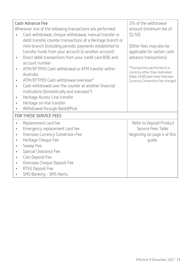|           | Cash Advance Fee                                            | 2% of the withdrawal            |
|-----------|-------------------------------------------------------------|---------------------------------|
|           | Whenever one of the following transactions are performed:   | amount (minimum fee of          |
|           | Cash withdrawal, cheque withdrawal, manual transfer or      | $$2.50$ )                       |
|           | debit transfer counter transactions at a Heritage branch or |                                 |
|           | mini-branch (including periodic payments established to     | (Other fees may also be         |
|           | transfer funds from your account to another account)        | applicable for certain cash     |
|           | Direct debit transactions from your credit card BSB, and    | advance transactions)           |
|           | account number                                              | *Transactions performed in a    |
|           | ATM/EFTPOS Cash withdrawal or ATM transfer within           | currency other than Australian  |
|           | Australia                                                   | Dollar (AUD) also have Overseas |
|           | ATM/EFTPOS Cash withdrawal overseas*                        | Currency Conversion Fee charged |
|           | Cash withdrawal over the counter at another financial       |                                 |
|           | institutions (domestically and overseas*)                   |                                 |
| ۰         | Heritage Access Line transfer                               |                                 |
|           | Heritage on-line transfer                                   |                                 |
| $\bullet$ | Withdrawal through Bank@Post                                |                                 |
|           | <b>FOR THESE SERVICE FEES</b>                               |                                 |
| $\bullet$ | Replacement card fee                                        | Refer to Deposit Product        |
|           | Emergency replacement card fee                              | Service Fees Table              |
|           | Overseas Currency Conversion Fee                            | beginning on page 4 of this     |
| ۰         | Heritage Cheque Fee                                         | quide.                          |
| ٠         | Sweep Fee                                                   |                                 |
|           | Special Clearance Fee                                       |                                 |
| ۰         | Coin Deposit Fee                                            |                                 |
|           | Overseas Cheque Deposit Fee                                 |                                 |
|           | RTGS Deposit Fee                                            |                                 |
|           | SMS Banking - SMS Alerts                                    |                                 |